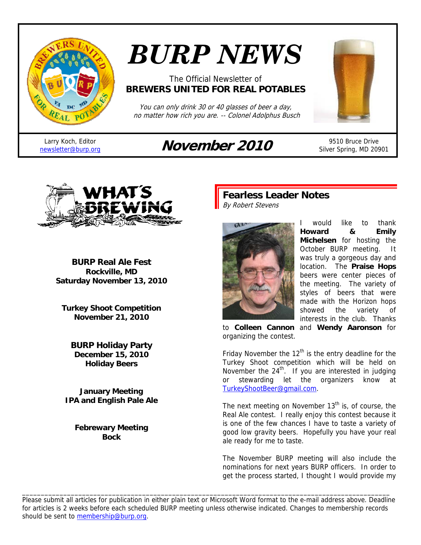

# *BURP NEWS*

#### The Official Newsletter of **BREWERS UNITED FOR REAL POTABLES**

You can only drink 30 or 40 glasses of beer a day, no matter how rich you are. -- Colonel Adolphus Busch



Larry Koch, Editor

## newsletter@burp.org **November 2010** 9510 Bruce Drive

Silver Spring, MD 20901



**BURP Real Ale Fest Rockville, MD Saturday November 13, 2010** 

**Turkey Shoot Competition November 21, 2010** 

**BURP Holiday Party December 15, 2010 Holiday Beers** 

**January Meeting IPA and English Pale Ale** 

**Febrewary Meeting Bock** 

**Fearless Leader Notes**  By Robert Stevens



would like to thank **Howard & Emily Michelsen** for hosting the October BURP meeting. It was truly a gorgeous day and location. The **Praise Hops** beers were center pieces of the meeting. The variety of styles of beers that were made with the Horizon hops showed the variety of interests in the club. Thanks to **Colleen Cannon** and **Wendy Aaronson** for

organizing the contest.

Friday November the  $12<sup>th</sup>$  is the entry deadline for the Turkey Shoot competition which will be held on November the  $24<sup>th</sup>$ . If you are interested in judging or stewarding let the organizers know at TurkeyShootBeer@gmail.com.

The next meeting on November  $13<sup>th</sup>$  is, of course, the Real Ale contest. I really enjoy this contest because it is one of the few chances I have to taste a variety of good low gravity beers. Hopefully you have your real ale ready for me to taste.

The November BURP meeting will also include the nominations for next years BURP officers. In order to get the process started, I thought I would provide my

Please submit all articles for publication in either plain text or Microsoft Word format to the e-mail address above. Deadline for articles is 2 weeks before each scheduled BURP meeting unless otherwise indicated. Changes to membership records should be sent to membership@burp.org.

\_\_\_\_\_\_\_\_\_\_\_\_\_\_\_\_\_\_\_\_\_\_\_\_\_\_\_\_\_\_\_\_\_\_\_\_\_\_\_\_\_\_\_\_\_\_\_\_\_\_\_\_\_\_\_\_\_\_\_\_\_\_\_\_\_\_\_\_\_\_\_\_\_\_\_\_\_\_\_\_\_\_\_\_\_\_\_\_\_\_\_\_\_\_\_\_\_\_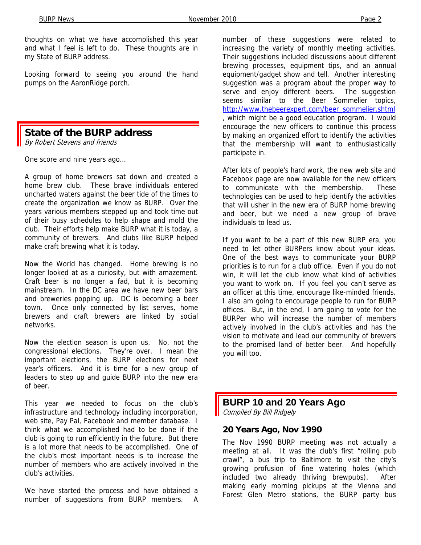thoughts on what we have accomplished this year and what I feel is left to do. These thoughts are in my State of BURP address.

Looking forward to seeing you around the hand pumps on the AaronRidge porch.

#### **State of the BURP address**

By Robert Stevens and friends

One score and nine years ago…

A group of home brewers sat down and created a home brew club. These brave individuals entered uncharted waters against the beer tide of the times to create the organization we know as BURP. Over the years various members stepped up and took time out of their busy schedules to help shape and mold the club. Their efforts help make BURP what it is today, a community of brewers. And clubs like BURP helped make craft brewing what it is today.

Now the World has changed. Home brewing is no longer looked at as a curiosity, but with amazement. Craft beer is no longer a fad, but it is becoming mainstream. In the DC area we have new beer bars and breweries popping up. DC is becoming a beer town. Once only connected by list serves, home brewers and craft brewers are linked by social networks.

Now the election season is upon us. No, not the congressional elections. They're over. I mean the important elections, the BURP elections for next year's officers. And it is time for a new group of leaders to step up and guide BURP into the new era of beer.

This year we needed to focus on the club's infrastructure and technology including incorporation, web site, Pay Pal, Facebook and member database. I think what we accomplished had to be done if the club is going to run efficiently in the future. But there is a lot more that needs to be accomplished. One of the club's most important needs is to increase the number of members who are actively involved in the club's activities.

We have started the process and have obtained a number of suggestions from BURP members. A number of these suggestions were related to increasing the variety of monthly meeting activities. Their suggestions included discussions about different brewing processes, equipment tips, and an annual equipment/gadget show and tell.Another interesting suggestion was a program about the proper way to serve and enjoy different beers. The suggestion seems similar to the Beer Sommelier topics, http://www.thebeerexpert.com/beer\_sommelier.shtml , which might be a good education program. I would encourage the new officers to continue this process by making an organized effort to identify the activities that the membership will want to enthusiastically participate in.

After lots of people's hard work, the new web site and Facebook page are now available for the new officers to communicate with the membership. These technologies can be used to help identify the activities that will usher in the new era of BURP home brewing and beer, but we need a new group of brave individuals to lead us.

If you want to be a part of this new BURP era, you need to let other BURPers know about your ideas. One of the best ways to communicate your BURP priorities is to run for a club office. Even if you do not win, it will let the club know what kind of activities you want to work on. If you feel you can't serve as an officer at this time, encourage like-minded friends. I also am going to encourage people to run for BURP offices. But, in the end, I am going to vote for the BURPer who will increase the number of members actively involved in the club's activities and has the vision to motivate and lead our community of brewers to the promised land of better beer. And hopefully you will too.

#### **BURP 10 and 20 Years Ago**  Compiled By Bill Ridgely

#### **20 Years Ago, Nov 1990**

The Nov 1990 BURP meeting was not actually a meeting at all. It was the club's first "rolling pub crawl", a bus trip to Baltimore to visit the city's growing profusion of fine watering holes (which included two already thriving brewpubs). After making early morning pickups at the Vienna and Forest Glen Metro stations, the BURP party bus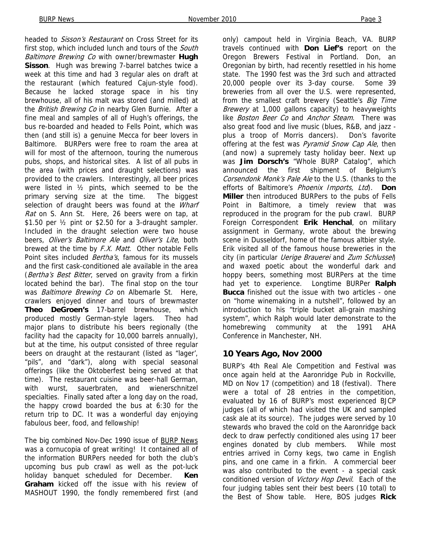BURP News Page 3 headed to *Sisson's Restaurant* on Cross Street for its first stop, which included lunch and tours of the South Baltimore Brewing Co with owner/brewmaster **Hugh Sisson**. Hugh was brewing 7-barrel batches twice a week at this time and had 3 regular ales on draft at the restaurant (which featured Cajun-style food). Because he lacked storage space in his tiny brewhouse, all of his malt was stored (and milled) at the British Brewing Co in nearby Glen Burnie. After a fine meal and samples of all of Hugh's offerings, the bus re-boarded and headed to Fells Point, which was then (and still is) a genuine Mecca for beer lovers in Baltimore. BURPers were free to roam the area at will for most of the afternoon, touring the numerous pubs, shops, and historical sites. A list of all pubs in

the area (with prices and draught selections) was provided to the crawlers. Interestingly, all beer prices were listed in ½ pints, which seemed to be the primary serving size at the time. The biggest selection of draught beers was found at the Wharf Rat on S. Ann St. Here, 26 beers were on tap, at \$1.50 per ½ pint or \$2.50 for a 3-draught sampler. Included in the draught selection were two house beers, Oliver's Baltimore Ale and Oliver's Lite, both brewed at the time by F.X. Matt. Other notable Fells Point sites included *Bertha's*, famous for its mussels and the first cask-conditioned ale available in the area (Bertha's Best Bitter, served on gravity from a firkin located behind the bar). The final stop on the tour was *Baltimore Brewing Co* on Albemarle St. Here, crawlers enjoyed dinner and tours of brewmaster **Theo DeGroen's** 17-barrel brewhouse, which produced mostly German-style lagers. Theo had major plans to distribute his beers regionally (the facility had the capacity for 10,000 barrels annually), but at the time, his output consisted of three regular beers on draught at the restaurant (listed as "lager', "pils", and "dark"), along with special seasonal offerings (like the Oktoberfest being served at that time). The restaurant cuisine was beer-hall German, with wurst, sauerbraten, and wienerschnitzel specialties. Finally sated after a long day on the road, the happy crowd boarded the bus at 6:30 for the return trip to DC. It was a wonderful day enjoying fabulous beer, food, and fellowship!

The big combined Nov-Dec 1990 issue of BURP News was a cornucopia of great writing! It contained all of the information BURPers needed for both the club's upcoming bus pub crawl as well as the pot-luck holiday banquet scheduled for December. **Ken Graham** kicked off the issue with his review of MASHOUT 1990, the fondly remembered first (and

only) campout held in Virginia Beach, VA. BURP travels continued with **Don Lief's** report on the Oregon Brewers Festival in Portland. Don, an Oregonian by birth, had recently resettled in his home state. The 1990 fest was the 3rd such and attracted 20,000 people over its 3-day course. Some 39 breweries from all over the U.S. were represented, from the smallest craft brewery (Seattle's Big Time Brewery at 1,000 gallons capacity) to heavyweights like Boston Beer Co and Anchor Steam. There was also great food and live music (blues, R&B, and jazz plus a troop of Morris dancers). Don's favorite offering at the fest was Pyramid Snow Cap Ale, then (and now) a supremely tasty holiday beer. Next up was **Jim Dorsch's** "Whole BURP Catalog", which announced the first shipment of Belgium's Corsendonk Monk's Pale Ale to the U.S. (thanks to the efforts of Baltimore's Phoenix Imports, Ltd). **Don Miller** then introduced BURPers to the pubs of Fells Point in Baltimore, a timely review that was reproduced in the program for the pub crawl. BURP Foreign Correspondent **Erik Henchal**, on military assignment in Germany, wrote about the brewing scene in Dusseldorf, home of the famous altbier style. Erik visited all of the famous house breweries in the city (in particular *Uerige Brauerei* and Zum Schlussel) and waxed poetic about the wonderful dark and hoppy beers, something most BURPers at the time had yet to experience. Longtime BURPer **Ralph Bucca** finished out the issue with two articles - one on "home winemaking in a nutshell", followed by an introduction to his "triple bucket all-grain mashing system", which Ralph would later demonstrate to the homebrewing community at the 1991 AHA Conference in Manchester, NH.

#### **10 Years Ago, Nov 2000**

BURP's 4th Real Ale Competition and Festival was once again held at the Aaronridge Pub in Rockville, MD on Nov 17 (competition) and 18 (festival). There were a total of 28 entries in the competition, evaluated by 16 of BURP's most experienced BJCP judges (all of which had visited the UK and sampled cask ale at its source). The judges were served by 10 stewards who braved the cold on the Aaronridge back deck to draw perfectly conditioned ales using 17 beer engines donated by club members. While most entries arrived in Corny kegs, two came in English pins, and one came in a firkin. A commercial beer was also contributed to the event - a special cask conditioned version of Victory Hop Devil. Each of the four judging tables sent their best beers (10 total) to the Best of Show table. Here, BOS judges **Rick**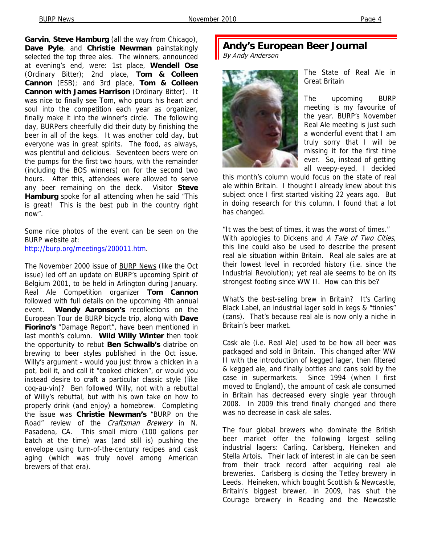**Garvin**, **Steve Hamburg** (all the way from Chicago), **Dave Pyle**, and **Christie Newman** painstakingly selected the top three ales. The winners, announced at evening's end, were: 1st place, **Wendell Ose**  (Ordinary Bitter); 2nd place, **Tom & Colleen Cannon** (ESB); and 3rd place, **Tom & Colleen Cannon with James Harrison** (Ordinary Bitter). It was nice to finally see Tom, who pours his heart and soul into the competition each year as organizer, finally make it into the winner's circle. The following day, BURPers cheerfully did their duty by finishing the beer in all of the kegs. It was another cold day, but everyone was in great spirits. The food, as always, was plentiful and delicious. Seventeen beers were on the pumps for the first two hours, with the remainder (including the BOS winners) on for the second two hours. After this, attendees were allowed to serve any beer remaining on the deck. Visitor **Steve Hamburg** spoke for all attending when he said "This is great! This is the best pub in the country right now".

Some nice photos of the event can be seen on the BURP website at: http://burp.org/meetings/200011.htm.

The November 2000 issue of **BURP News** (like the Oct issue) led off an update on BURP's upcoming Spirit of Belgium 2001, to be held in Arlington during January. Real Ale Competition organizer **Tom Cannon**  followed with full details on the upcoming 4th annual event. **Wendy Aaronson's** recollections on the European Tour de BURP bicycle trip, along with **Dave Fiorino's** "Damage Report", have been mentioned in last month's column. **Wild Willy Winter** then took the opportunity to rebut **Ben Schwalb's** diatribe on brewing to beer styles published in the Oct issue. Willy's argument - would you just throw a chicken in a pot, boil it, and call it "cooked chicken", or would you instead desire to craft a particular classic style (like coq-au-vin)? Ben followed Willy, not with a rebuttal of Willy's rebuttal, but with his own take on how to properly drink (and enjoy) a homebrew. Completing the issue was **Christie Newman's** "BURP on the Road" review of the *Craftsman Brewery* in N. Pasadena, CA. This small micro (100 gallons per batch at the time) was (and still is) pushing the envelope using turn-of-the-century recipes and cask aging (which was truly novel among American brewers of that era).

#### **Andy's European Beer Journal**  By Andy Anderson



The State of Real Ale in Great Britain

The upcoming BURP meeting is my favourite of the year. BURP's November Real Ale meeting is just such a wonderful event that I am truly sorry that I will be missing it for the first time ever. So, instead of getting all weepy-eyed, I decided

this month's column would focus on the state of real ale within Britain. I thought I already knew about this subject once I first started visiting 22 years ago. But in doing research for this column, I found that a lot has changed.

"It was the best of times, it was the worst of times." With apologies to Dickens and A Tale of Two Cities, this line could also be used to describe the present real ale situation within Britain. Real ale sales are at their lowest level in recorded history (i.e. since the Industrial Revolution); yet real ale seems to be on its strongest footing since WW II. How can this be?

What's the best-selling brew in Britain? It's Carling Black Label, an industrial lager sold in kegs & "tinnies" (cans). That's because real ale is now only a niche in Britain's beer market.

Cask ale (i.e. Real Ale) used to be how all beer was packaged and sold in Britain. This changed after WW II with the introduction of kegged lager, then filtered & kegged ale, and finally bottles and cans sold by the case in supermarkets. Since 1994 (when I first moved to England), the amount of cask ale consumed in Britain has decreased every single year through 2008. In 2009 this trend finally changed and there was no decrease in cask ale sales.

The four global brewers who dominate the British beer market offer the following largest selling industrial lagers: Carling, Carlsberg, Heineken and Stella Artois. Their lack of interest in ale can be seen from their track record after acquiring real ale breweries. Carlsberg is closing the Tetley brewery in Leeds. Heineken, which bought Scottish & Newcastle, Britain's biggest brewer, in 2009, has shut the Courage brewery in Reading and the Newcastle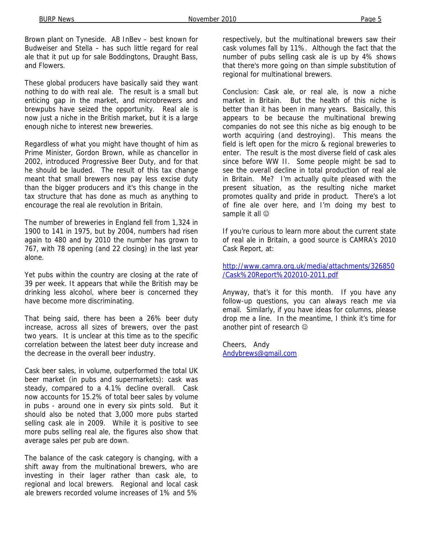Brown plant on Tyneside. AB InBev – best known for Budweiser and Stella – has such little regard for real ale that it put up for sale Boddingtons, Draught Bass, and Flowers.

These global producers have basically said they want nothing to do with real ale. The result is a small but enticing gap in the market, and microbrewers and brewpubs have seized the opportunity. Real ale is now just a niche in the British market, but it is a large enough niche to interest new breweries.

Regardless of what you might have thought of him as Prime Minister, Gordon Brown, while as chancellor in 2002, introduced Progressive Beer Duty, and for that he should be lauded. The result of this tax change meant that small brewers now pay less excise duty than the bigger producers and it's this change in the tax structure that has done as much as anything to encourage the real ale revolution in Britain.

The number of breweries in England fell from 1,324 in 1900 to 141 in 1975, but by 2004, numbers had risen again to 480 and by 2010 the number has grown to 767, with 78 opening (and 22 closing) in the last year alone.

Yet pubs within the country are closing at the rate of 39 per week. It appears that while the British may be drinking less alcohol, where beer is concerned they have become more discriminating.

That being said, there has been a 26% beer duty increase, across all sizes of brewers, over the past two years. It is unclear at this time as to the specific correlation between the latest beer duty increase and the decrease in the overall beer industry.

Cask beer sales, in volume, outperformed the total UK beer market (in pubs and supermarkets): cask was steady, compared to a 4.1% decline overall. Cask now accounts for 15.2% of total beer sales by volume in pubs - around one in every six pints sold. But it should also be noted that 3,000 more pubs started selling cask ale in 2009. While it is positive to see more pubs selling real ale, the figures also show that average sales per pub are down.

The balance of the cask category is changing, with a shift away from the multinational brewers, who are investing in their lager rather than cask ale, to regional and local brewers. Regional and local cask ale brewers recorded volume increases of 1% and 5%

respectively, but the multinational brewers saw their cask volumes fall by 11%. Although the fact that the number of pubs selling cask ale is up by 4% shows that there's more going on than simple substitution of regional for multinational brewers.

Conclusion: Cask ale, or real ale, is now a niche market in Britain. But the health of this niche is better than it has been in many years. Basically, this appears to be because the multinational brewing companies do not see this niche as big enough to be worth acquiring (and destroying). This means the field is left open for the micro & regional breweries to enter. The result is the most diverse field of cask ales since before WW II. Some people might be sad to see the overall decline in total production of real ale in Britain. Me? I'm actually quite pleased with the present situation, as the resulting niche market promotes quality and pride in product. There's a lot of fine ale over here, and I'm doing my best to sample it all  $\circledcirc$ 

If you're curious to learn more about the current state of real ale in Britain, a good source is CAMRA's 2010 Cask Report, at:

http://www.camra.org.uk/media/attachments/326850 /Cask%20Report%202010-2011.pdf

Anyway, that's it for this month. If you have any follow-up questions, you can always reach me via email. Similarly, if you have ideas for columns, please drop me a line. In the meantime, I think it's time for another pint of research  $\odot$ 

Cheers, Andy Andybrews@gmail.com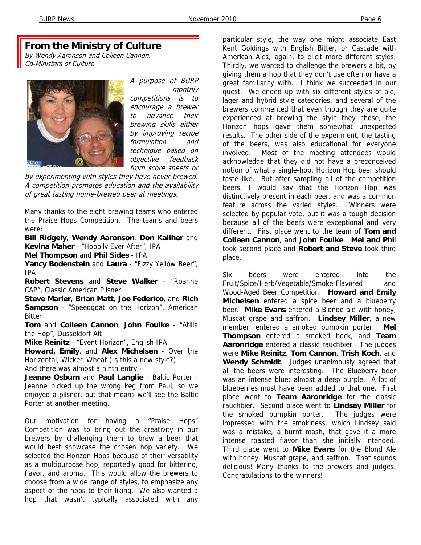## **From the Ministry of Culture**

By Wendy Aaronson and Colleen Cannon, Co-Ministers of Culture



A purpose of BURP monthly

competitions is to encourage a brewer to advance their brewing skills either by improving recipe formulation and technique based on objective feedback from score sheets or

by experimenting with styles they have never brewed. A competition promotes education and the availability of great tasting home-brewed beer at meetings.

Many thanks to the eight brewing teams who entered the Praise Hops Competition. The teams and beers were:

**Bill Ridgely**, **Wendy Aaronson**, **Don Kaliher** and **Kevina Maher** - "Hoppily Ever After", IPA

**Mel Thompson** and **Phil Sides** - IPA

**Yancy Bodenstein** and **Laura** - "Fizzy Yellow Beer", IPA

**Robert Stevens** and **Steve Walker** - "Roanne CAP", Classic American Pilsner

**Steve Marler**, **Brian Matt**, **Joe Federico**, and **Rich Sampson** - "Speedgoat on the Horizon", American Bitter

**Tom** and **Colleen Cannon**, **John Foulke** - "Atilla the Hop", Dusseldorf Alt

**Mike Reinitz** - "Event Horizon", English IPA

**Howard, Emily**, and **Alex Michelsen** - Over the Horizontal, Wicked Wheat (Is this a new style?) And there was almost a ninth entry -

**Jeanne Osburn** and **Paul Langlie** - Baltic Porter - Jeanne picked up the wrong keg from Paul, so we enjoyed a pilsner, but that means we'll see the Baltic Porter at another meeting.

Our motivation for having a "Praise Hops" Competition was to bring out the creativity in our brewers by challenging them to brew a beer that would best showcase the chosen hop variety. We selected the Horizon Hops because of their versatility as a multipurpose hop, reportedly good for bittering, flavor, and aroma. This would allow the brewers to choose from a wide range of styles, to emphasize any aspect of the hops to their liking. We also wanted a hop that wasn't typically associated with any

particular style, the way one might associate East Kent Goldings with English Bitter, or Cascade with American Ales; again, to elicit more different styles. Thirdly, we wanted to challenge the brewers a bit, by giving them a hop that they don't use often or have a great familiarity with. I think we succeeded in our quest. We ended up with six different styles of ale, lager and hybrid style categories, and several of the brewers commented that even though they are quite experienced at brewing the style they chose, the Horizon hops gave them somewhat unexpected results. The other side of the experiment, the tasting of the beers, was also educational for everyone involved. Most of the meeting attendees would acknowledge that they did not have a preconceived notion of what a single-hop, Horizon Hop beer should taste like. But after sampling all of the competition beers, I would say that the Horizon Hop was distinctively present in each beer, and was a common feature across the varied styles. Winners were selected by popular vote, but it was a tough decision because all of the beers were exceptional and very different. First place went to the team of **Tom and Colleen Cannon**, and **John Foulke**. **Mel and Phi**l took second place and **Robert and Steve** took third place.

Six beers were entered into the Fruit/Spice/Herb/Vegetable/Smoke-Flavored and Wood-Aged Beer Competition. **Howard and Emily Michelsen** entered a spice beer and a blueberry beer. **Mike Evans** entered a Blonde ale with honey, Muscat grape and saffron. **Lindsey Miller**, a new member, entered a smoked pumpkin porter. **Mel Thompson** entered a smoked bock, and **Team Aaronridge** entered a classic rauchbier. The judges were **Mike Reinitz**, **Tom Cannon**, **Trish Koch**, and **Wendy Schmidt**. Judges unanimously agreed that all the beers were interesting. The Blueberry beer was an intense blue; almost a deep purple. A lot of blueberries must have been added to that one. First place went to **Team Aaronridge** for the classic rauchbier. Second place went to **Lindsey Miller** for the smoked pumpkin porter. The judges were impressed with the smokiness, which Lindsey said was a mistake, a burnt mash, that gave it a more intense roasted flavor than she initially intended. Third place went to **Mike Evans** for the Blond Ale with honey, Muscat grape, and saffron. That sounds delicious! Many thanks to the brewers and judges. Congratulations to the winners!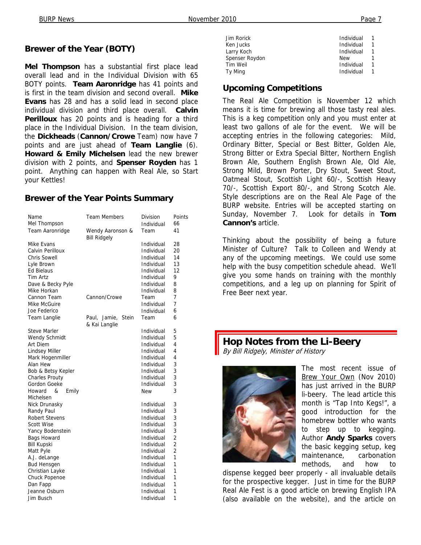#### **Brewer of the Year (BOTY)**

**Mel Thompson** has a substantial first place lead overall lead and in the Individual Division with 65 BOTY points. **Team Aaronridge** has 41 points and is first in the team division and second overall. **Mike Evans** has 28 and has a solid lead in second place individual division and third place overall. **Calvin Perilloux** has 20 points and is heading for a third place in the Individual Division. In the team division, the **Dickheads** (**Cannon/Crowe** Team) now have 7 points and are just ahead of **Team Langlie** (6). **Howard & Emily Michelsen** lead the new brewer division with 2 points, and **Spenser Royden** has 1 point. Anything can happen with Real Ale, so Start your Kettles!

#### **Brewer of the Year Points Summary**

| Name                  | <b>Team Members</b>                     | Division   | Points         |
|-----------------------|-----------------------------------------|------------|----------------|
| Mel Thompson          |                                         | Individual | 66             |
| Team Aaronridge       | Wendy Aaronson &<br><b>Bill Ridgely</b> | Team       | 41             |
| Mike Evans            |                                         | Individual | 28             |
| Calvin Perilloux      |                                         | Individual | 20             |
| <b>Chris Sowell</b>   |                                         | Individual | 14             |
| Lyle Brown            |                                         | Individual | 13             |
| <b>Ed Bielaus</b>     |                                         | Individual | 12             |
| <b>Tim Artz</b>       |                                         | Individual | 9              |
| Dave & Becky Pyle     |                                         | Individual | 8              |
| Mike Horkan           |                                         | Individual | 8              |
| Cannon Team           | Cannon/Crowe                            | Team       | 7              |
| Mike McGuire          |                                         | Individual | 7              |
| Joe Federico          |                                         | Individual | 6              |
| Team Langlie          | Paul, Jamie,<br>Stein                   | Team       | 6              |
|                       | & Kai Langlie                           |            |                |
| <b>Steve Marler</b>   |                                         | Individual | 5              |
| Wendy Schmidt         |                                         | Individual | 5              |
| Art Diem              |                                         | Individual | 4              |
| <b>Lindsey Miller</b> |                                         | Individual | 4              |
| Mark Hogenmiller      |                                         | Individual | $\overline{4}$ |
| Alan Hew              |                                         | Individual | 3              |
| Bob & Betsy Kepler    |                                         | Individual | 3              |
| <b>Charles Prouty</b> |                                         | Individual | 3              |
| Gordon Goeke          |                                         | Individual | 3              |
| Emily<br>Howard<br>&  |                                         | New        | 3              |
| Michelsen             |                                         |            |                |
| Nick Drunasky         |                                         | Individual | 3              |
| Randy Paul            |                                         | Individual | 3              |
| <b>Robert Stevens</b> |                                         | Individual | 3              |
| Scott Wise            |                                         | Individual | 3              |
| Yancy Bodenstein      |                                         | Individual | 3              |
| <b>Bags Howard</b>    |                                         | Individual | $\overline{2}$ |
| <b>Bill Kupski</b>    |                                         | Individual | $\overline{2}$ |
| Matt Pyle             |                                         | Individual | $\overline{2}$ |
| A.J. deLange          |                                         | Individual | 1              |
| <b>Bud Hensgen</b>    |                                         | Individual | 1              |
| Christian Layke       |                                         | Individual | 1              |
| <b>Chuck Popenoe</b>  |                                         | Individual | 1              |
| Dan Fapp              |                                         | Individual | 1              |
| Jeanne Osburn         |                                         | Individual | 1              |
| Jim Busch             |                                         | Individual | 1              |

| Jim Rorick     | Individual |  |
|----------------|------------|--|
| Ken Jucks      | Individual |  |
| Larry Koch     | Individual |  |
| Spenser Roydon | <b>New</b> |  |
| Tim Weil       | Individual |  |
| Ty Ming        | Individual |  |
|                |            |  |

#### **Upcoming Competitions**

The Real Ale Competition is November 12 which means it is time for brewing all those tasty real ales. This is a keg competition only and you must enter at least two gallons of ale for the event. We will be accepting entries in the following categories: Mild, Ordinary Bitter, Special or Best Bitter, Golden Ale, Strong Bitter or Extra Special Bitter, Northern English Brown Ale, Southern English Brown Ale, Old Ale, Strong Mild, Brown Porter, Dry Stout, Sweet Stout, Oatmeal Stout, Scottish Light 60/-, Scottish Heavy 70/-, Scottish Export 80/-, and Strong Scotch Ale. Style descriptions are on the Real Ale Page of the BURP website. Entries will be accepted starting on Sunday, November 7. Look for details in **Tom Cannon's** article.

Thinking about the possibility of being a future Minister of Culture? Talk to Colleen and Wendy at any of the upcoming meetings. We could use some help with the busy competition schedule ahead. We'll give you some hands on training with the monthly competitions, and a leg up on planning for Spirit of Free Beer next year.

#### **Hop Notes from the Li-Beery**  By Bill Ridgely, Minister of History



The most recent issue of Brew Your Own (Nov 2010) has just arrived in the BURP li-beery. The lead article this month is "Tap Into Kegs!", a good introduction for the homebrew bottler who wants to step up to kegging. Author **Andy Sparks** covers the basic kegging setup, keg maintenance, carbonation methods, and how to

dispense kegged beer properly - all invaluable details for the prospective kegger. Just in time for the BURP Real Ale Fest is a good article on brewing English IPA (also available on the website), and the article on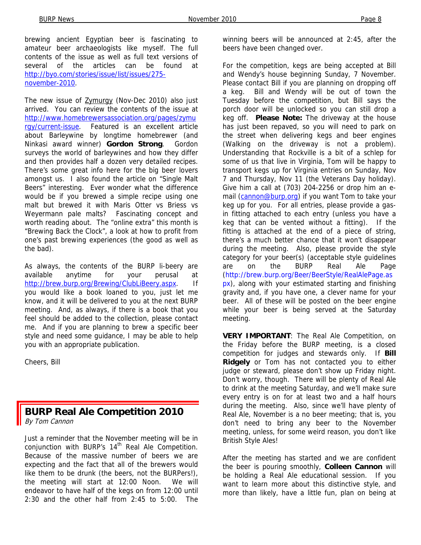brewing ancient Egyptian beer is fascinating to amateur beer archaeologists like myself. The full contents of the issue as well as full text versions of several of the articles can be found at http://byo.com/stories/issue/list/issues/275 november-2010.

The new issue of **Zymurgy** (Nov-Dec 2010) also just arrived. You can review the contents of the issue at http://www.homebrewersassociation.org/pages/zymu rgy/current-issue. Featured is an excellent article about Barleywine by longtime homebrewer (and Ninkasi award winner) **Gordon Strong**. Gordon surveys the world of barleywines and how they differ and then provides half a dozen very detailed recipes. There's some great info here for the big beer lovers amongst us. I also found the article on "Single Malt Beers" interesting. Ever wonder what the difference would be if you brewed a simple recipe using one malt but brewed it with Maris Otter vs Briess vs Weyermann pale malts? Fascinating concept and worth reading about. The "online extra" this month is "Brewing Back the Clock", a look at how to profit from one's past brewing experiences (the good as well as the bad).

As always, the contents of the BURP li-beery are available anytime for your perusal at http://brew.burp.org/Brewing/ClubLiBeery.aspx. If you would like a book loaned to you, just let me know, and it will be delivered to you at the next BURP meeting. And, as always, if there is a book that you feel should be added to the collection, please contact me. And if you are planning to brew a specific beer style and need some guidance, I may be able to help you with an appropriate publication.

Cheers, Bill

#### **BURP Real Ale Competition 2010**  By Tom Cannon

Just a reminder that the November meeting will be in sust a formation with BURP's 14<sup>th</sup> Real Ale Competition. Because of the massive number of beers we are expecting and the fact that all of the brewers would like them to be drunk (the beers, not the BURPers!), the meeting will start at 12:00 Noon. We will endeavor to have half of the kegs on from 12:00 until 2:30 and the other half from 2:45 to 5:00. The winning beers will be announced at 2:45, after the beers have been changed over.

For the competition, kegs are being accepted at Bill and Wendy's house beginning Sunday, 7 November. Please contact Bill if you are planning on dropping off a keg. Bill and Wendy will be out of town the Tuesday before the competition, but Bill says the porch door will be unlocked so you can still drop a keg off. **Please Note:** The driveway at the house has just been repaved, so you will need to park on the street when delivering kegs and beer engines (Walking on the driveway is not a problem). Understanding that Rockville is a bit of a schlep for some of us that live in Virginia, Tom will be happy to transport kegs up for Virginia entries on Sunday, Nov 7 and Thursday, Nov 11 (the Veterans Day holiday). Give him a call at (703) 204-2256 or drop him an email (cannon@burp.org) if you want Tom to take your keg up for you. For all entries, please provide a gasin fitting attached to each entry (unless you have a keg that can be vented without a fitting). If the fitting is attached at the end of a piece of string, there's a much better chance that it won't disappear during the meeting. Also, please provide the style category for your beer(s) (acceptable style guidelines are on the BURP Real Ale Page (http://brew.burp.org/Beer/BeerStyle/RealAlePage.as px), along with your estimated starting and finishing gravity and, if you have one, a clever name for your beer. All of these will be posted on the beer engine while your beer is being served at the Saturday meeting.

**VERY IMPORTANT**: The Real Ale Competition, on the Friday before the BURP meeting, is a closed competition for judges and stewards only. If **Bill Ridgely** or Tom has not contacted you to either judge or steward, please don't show up Friday night. Don't worry, though. There will be plenty of Real Ale to drink at the meeting Saturday, and we'll make sure every entry is on for at least two and a half hours during the meeting. Also, since we'll have plenty of Real Ale, November is a no beer meeting; that is, you don't need to bring any beer to the November meeting, unless, for some weird reason, you don't like British Style Ales!

After the meeting has started and we are confident the beer is pouring smoothly, **Colleen Cannon** will be holding a Real Ale educational session. If you want to learn more about this distinctive style, and more than likely, have a little fun, plan on being at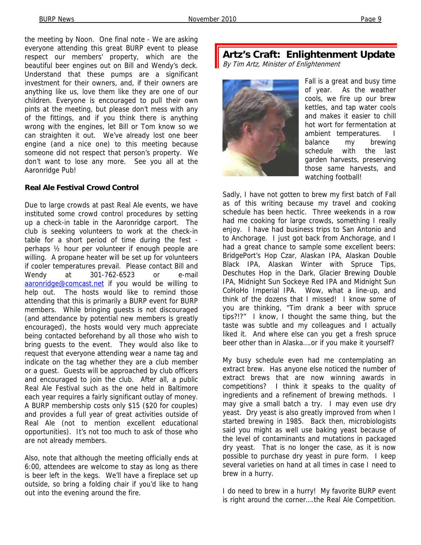the meeting by Noon. One final note - We are asking everyone attending this great BURP event to please respect our members' property, which are the beautiful beer engines out on Bill and Wendy's deck. Understand that these pumps are a significant investment for their owners, and, if their owners are anything like us, love them like they are one of our children. Everyone is encouraged to pull their own pints at the meeting, but please don't mess with any of the fittings, and if you think there is anything wrong with the engines, let Bill or Tom know so we can straighten it out. We've already lost one beer engine (and a nice one) to this meeting because someone did not respect that person's property. We don't want to lose any more. See you all at the Aaronridge Pub!

#### **Real Ale Festival Crowd Control**

Due to large crowds at past Real Ale events, we have instituted some crowd control procedures by setting up a check-in table in the Aaronridge carport. The club is seeking volunteers to work at the check-in table for a short period of time during the fest perhaps ½ hour per volunteer if enough people are willing. A propane heater will be set up for volunteers if cooler temperatures prevail. Please contact Bill and Wendy at 301-762-6523 or e-mail aaronridge@comcast.net if you would be willing to help out. The hosts would like to remind those attending that this is primarily a BURP event for BURP members. While bringing guests is not discouraged (and attendance by potential new members is greatly encouraged), the hosts would very much appreciate being contacted beforehand by all those who wish to bring guests to the event. They would also like to request that everyone attending wear a name tag and indicate on the tag whether they are a club member or a guest. Guests will be approached by club officers and encouraged to join the club. After all, a public Real Ale Festival such as the one held in Baltimore each year requires a fairly significant outlay of money. A BURP membership costs only \$15 (\$20 for couples) and provides a full year of great activities outside of Real Ale (not to mention excellent educational opportunities). It's not too much to ask of those who are not already members.

Also, note that although the meeting officially ends at 6:00, attendees are welcome to stay as long as there is beer left in the kegs. We'll have a fireplace set up outside, so bring a folding chair if you'd like to hang out into the evening around the fire.

#### **Artz's Craft: Enlightenment Update**  By Tim Artz, Minister of Enlightenment



Fall is a great and busy time of year. As the weather cools, we fire up our brew kettles, and tap water cools and makes it easier to chill hot wort for fermentation at ambient temperatures. I balance my brewing schedule with the last garden harvests, preserving those same harvests, and watching football!

Sadly, I have not gotten to brew my first batch of Fall as of this writing because my travel and cooking schedule has been hectic. Three weekends in a row had me cooking for large crowds, something I really enjoy. I have had business trips to San Antonio and to Anchorage. I just got back from Anchorage, and I had a great chance to sample some excellent beers: BridgePort's Hop Czar, Alaskan IPA, Alaskan Double Black IPA, Alaskan Winter with Spruce Tips, Deschutes Hop in the Dark, Glacier Brewing Double IPA, Midnight Sun Sockeye Red IPA and Midnight Sun CoHoHo Imperial IPA. Wow, what a line-up, and think of the dozens that I missed! I know some of you are thinking, "Tim drank a beer with spruce tips?!?" I know, I thought the same thing, but the taste was subtle and my colleagues and I actually liked it. And where else can you get a fresh spruce beer other than in Alaska….or if you make it yourself?

My busy schedule even had me contemplating an extract brew. Has anyone else noticed the number of extract brews that are now winning awards in competitions? I think it speaks to the quality of ingredients and a refinement of brewing methods. I may give a small batch a try. I may even use dry yeast. Dry yeast is also greatly improved from when I started brewing in 1985. Back then, microbiologists said you might as well use baking yeast because of the level of contaminants and mutations in packaged dry yeast. That is no longer the case, as it is now possible to purchase dry yeast in pure form. I keep several varieties on hand at all times in case I need to brew in a hurry.

I do need to brew in a hurry! My favorite BURP event is right around the corner….the Real Ale Competition.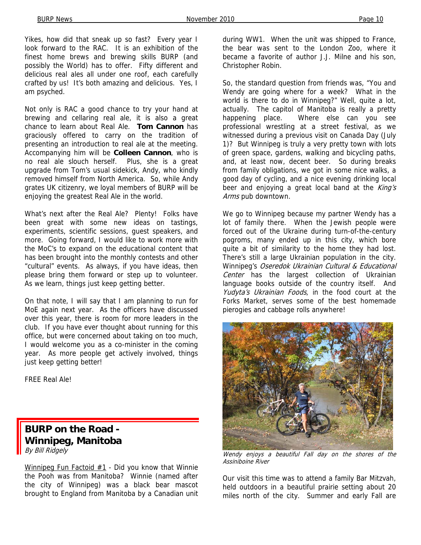Yikes, how did that sneak up so fast? Every year I look forward to the RAC. It is an exhibition of the finest home brews and brewing skills BURP (and possibly the World) has to offer. Fifty different and delicious real ales all under one roof, each carefully crafted by us! It's both amazing and delicious. Yes, I am psyched.

Not only is RAC a good chance to try your hand at brewing and cellaring real ale, it is also a great chance to learn about Real Ale. **Tom Cannon** has graciously offered to carry on the tradition of presenting an introduction to real ale at the meeting. Accompanying him will be **Colleen Cannon**, who is no real ale slouch herself. Plus, she is a great upgrade from Tom's usual sidekick, Andy, who kindly removed himself from North America. So, while Andy grates UK citizenry, we loyal members of BURP will be enjoying the greatest Real Ale in the world.

What's next after the Real Ale? Plenty! Folks have been great with some new ideas on tastings, experiments, scientific sessions, guest speakers, and more. Going forward, I would like to work more with the MoC's to expand on the educational content that has been brought into the monthly contests and other "cultural" events. As always, if you have ideas, then please bring them forward or step up to volunteer. As we learn, things just keep getting better.

On that note, I will say that I am planning to run for MoE again next year. As the officers have discussed over this year, there is room for more leaders in the club. If you have ever thought about running for this office, but were concerned about taking on too much, I would welcome you as a co-minister in the coming year. As more people get actively involved, things just keep getting better!

FREE Real Ale!

## **BURP on the Road - Winnipeg, Manitoba**

By Bill Ridgely

Winnipeg Fun Factoid  $#1$  - Did you know that Winnie the Pooh was from Manitoba? Winnie (named after the city of Winnipeg) was a black bear mascot brought to England from Manitoba by a Canadian unit So, the standard question from friends was, "You and Wendy are going where for a week? What in the world is there to do in Winnipeg?" Well, quite a lot, actually. The capitol of Manitoba is really a pretty happening place. Where else can you see professional wrestling at a street festival, as we witnessed during a previous visit on Canada Day (July 1)? But Winnipeg is truly a very pretty town with lots of green space, gardens, walking and bicycling paths, and, at least now, decent beer. So during breaks from family obligations, we got in some nice walks, a good day of cycling, and a nice evening drinking local beer and enjoying a great local band at the King's Arms pub downtown.

We go to Winnipeg because my partner Wendy has a lot of family there. When the Jewish people were forced out of the Ukraine during turn-of-the-century pogroms, many ended up in this city, which bore quite a bit of similarity to the home they had lost. There's still a large Ukrainian population in the city. Winnipeg's Oseredok Ukrainian Cultural & Educational Center has the largest collection of Ukrainian language books outside of the country itself. And Yudyta's Ukrainian Foods, in the food court at the Forks Market, serves some of the best homemade pierogies and cabbage rolls anywhere!



Wendy enjoys a beautiful Fall day on the shores of the Assiniboine River

Our visit this time was to attend a family Bar Mitzvah, held outdoors in a beautiful prairie setting about 20 miles north of the city. Summer and early Fall are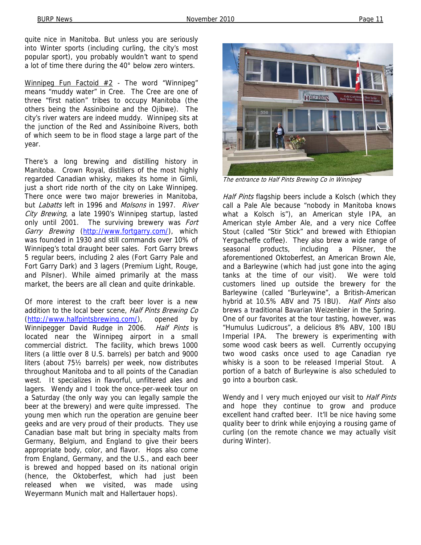quite nice in Manitoba. But unless you are seriously into Winter sports (including curling, the city's most popular sport), you probably wouldn't want to spend a lot of time there during the 40° below zero winters.

Winnipeg Fun Factoid  $#2$  - The word "Winnipeg" means "muddy water" in Cree. The Cree are one of three "first nation" tribes to occupy Manitoba (the others being the Assiniboine and the Ojibwe). The city's river waters are indeed muddy. Winnipeg sits at the junction of the Red and Assiniboine Rivers, both of which seem to be in flood stage a large part of the year.

There's a long brewing and distilling history in Manitoba. Crown Royal, distillers of the most highly regarded Canadian whisky, makes its home in Gimli, just a short ride north of the city on Lake Winnipeg. There once were two major breweries in Manitoba, but Labatts left in 1996 and Molsons in 1997. River City Brewing, a late 1990's Winnipeg startup, lasted only until 2001. The surviving brewery was Fort Garry Brewing (http://www.fortgarry.com/), which was founded in 1930 and still commands over 10% of Winnipeg's total draught beer sales. Fort Garry brews 5 regular beers, including 2 ales (Fort Garry Pale and Fort Garry Dark) and 3 lagers (Premium Light, Rouge, and Pilsner). While aimed primarily at the mass market, the beers are all clean and quite drinkable.

Of more interest to the craft beer lover is a new addition to the local beer scene, Half Pints Brewing Co (http://www.halfpintsbrewing.com/), opened by Winnipegger David Rudge in 2006. Half Pints is located near the Winnipeg airport in a small commercial district. The facility, which brews 1000 liters (a little over 8 U.S. barrels) per batch and 9000 liters (about 75½ barrels) per week, now distributes throughout Manitoba and to all points of the Canadian west. It specializes in flavorful, unfiltered ales and lagers. Wendy and I took the once-per-week tour on a Saturday (the only way you can legally sample the beer at the brewery) and were quite impressed. The young men which run the operation are genuine beer geeks and are very proud of their products. They use Canadian base malt but bring in specialty malts from Germany, Belgium, and England to give their beers appropriate body, color, and flavor. Hops also come from England, Germany, and the U.S., and each beer is brewed and hopped based on its national origin (hence, the Oktoberfest, which had just been released when we visited, was made using Weyermann Munich malt and Hallertauer hops).



The entrance to Half Pints Brewing Co in Winnipeg

Half Pints flagship beers include a Kolsch (which they call a Pale Ale because "nobody in Manitoba knows what a Kolsch is"), an American style IPA, an American style Amber Ale, and a very nice Coffee Stout (called "Stir Stick" and brewed with Ethiopian Yergacheffe coffee). They also brew a wide range of seasonal products, including a Pilsner, the aforementioned Oktoberfest, an American Brown Ale, and a Barleywine (which had just gone into the aging tanks at the time of our visit). We were told customers lined up outside the brewery for the Barleywine (called "Burleywine", a British-American hybrid at 10.5% ABV and 75 IBU). Half Pints also brews a traditional Bavarian Weizenbier in the Spring. One of our favorites at the tour tasting, however, was "Humulus Ludicrous", a delicious 8% ABV, 100 IBU Imperial IPA. The brewery is experimenting with some wood cask beers as well. Currently occupying two wood casks once used to age Canadian rye whisky is a soon to be released Imperial Stout. A portion of a batch of Burleywine is also scheduled to go into a bourbon cask.

Wendy and I very much enjoyed our visit to Half Pints and hope they continue to grow and produce excellent hand crafted beer. It'll be nice having some quality beer to drink while enjoying a rousing game of curling (on the remote chance we may actually visit during Winter).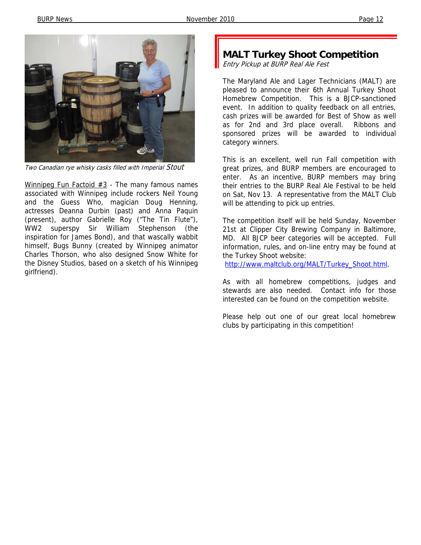

Two Canadian rye whisky casks filled with Imperial Stout

Winnipeg Fun Factoid  $#3$  - The many famous names associated with Winnipeg include rockers Neil Young and the Guess Who, magician Doug Henning, actresses Deanna Durbin (past) and Anna Paquin (present), author Gabrielle Roy ("The Tin Flute"), WW2 superspy Sir William Stephenson (the inspiration for James Bond), and that wascally wabbit himself, Bugs Bunny (created by Winnipeg animator Charles Thorson, who also designed Snow White for the Disney Studios, based on a sketch of his Winnipeg girlfriend).

## **MALT Turkey Shoot Competition**

Entry Pickup at BURP Real Ale Fest

The Maryland Ale and Lager Technicians (MALT) are pleased to announce their 6th Annual Turkey Shoot Homebrew Competition. This is a BJCP-sanctioned event. In addition to quality feedback on all entries, cash prizes will be awarded for Best of Show as well as for 2nd and 3rd place overall. Ribbons and sponsored prizes will be awarded to individual category winners.

This is an excellent, well run Fall competition with great prizes, and BURP members are encouraged to enter. As an incentive, BURP members may bring their entries to the BURP Real Ale Festival to be held on Sat, Nov 13. A representative from the MALT Club will be attending to pick up entries.

The competition itself will be held Sunday, November 21st at Clipper City Brewing Company in Baltimore, MD. All BJCP beer categories will be accepted. Full information, rules, and on-line entry may be found at the Turkey Shoot website:

http://www.maltclub.org/MALT/Turkey\_Shoot.html.

As with all homebrew competitions, judges and stewards are also needed. Contact info for those interested can be found on the competition website.

Please help out one of our great local homebrew clubs by participating in this competition!